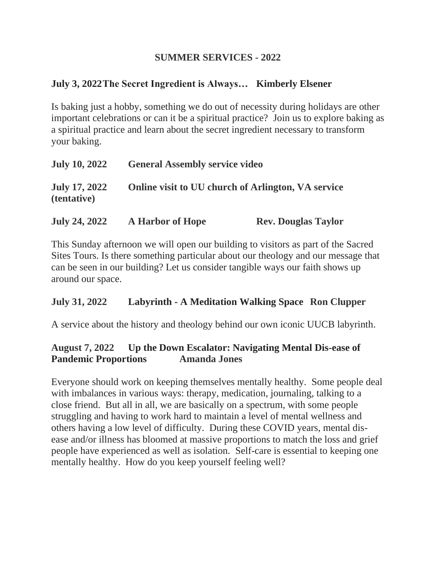#### **SUMMER SERVICES - 2022**

# **July 3, 2022The Secret Ingredient is Always… Kimberly Elsener**

Is baking just a hobby, something we do out of necessity during holidays are other important celebrations or can it be a spiritual practice? Join us to explore baking as a spiritual practice and learn about the secret ingredient necessary to transform your baking.

| <b>July 10, 2022</b>                       | <b>General Assembly service video</b>              |
|--------------------------------------------|----------------------------------------------------|
| <b>July 17, 2022</b><br><i>(tentative)</i> | Online visit to UU church of Arlington, VA service |

This Sunday afternoon we will open our building to visitors as part of the Sacred Sites Tours. Is there something particular about our theology and our message that can be seen in our building? Let us consider tangible ways our faith shows up around our space.

## **July 31, 2022 Labyrinth - A Meditation Walking Space Ron Clupper**

A service about the history and theology behind our own iconic UUCB labyrinth.

## **August 7, 2022 Up the Down Escalator: Navigating Mental Dis-ease of Pandemic Proportions Amanda Jones**

Everyone should work on keeping themselves mentally healthy. Some people deal with imbalances in various ways: therapy, medication, journaling, talking to a close friend. But all in all, we are basically on a spectrum, with some people struggling and having to work hard to maintain a level of mental wellness and others having a low level of difficulty. During these COVID years, mental disease and/or illness has bloomed at massive proportions to match the loss and grief people have experienced as well as isolation. Self-care is essential to keeping one mentally healthy. How do you keep yourself feeling well?